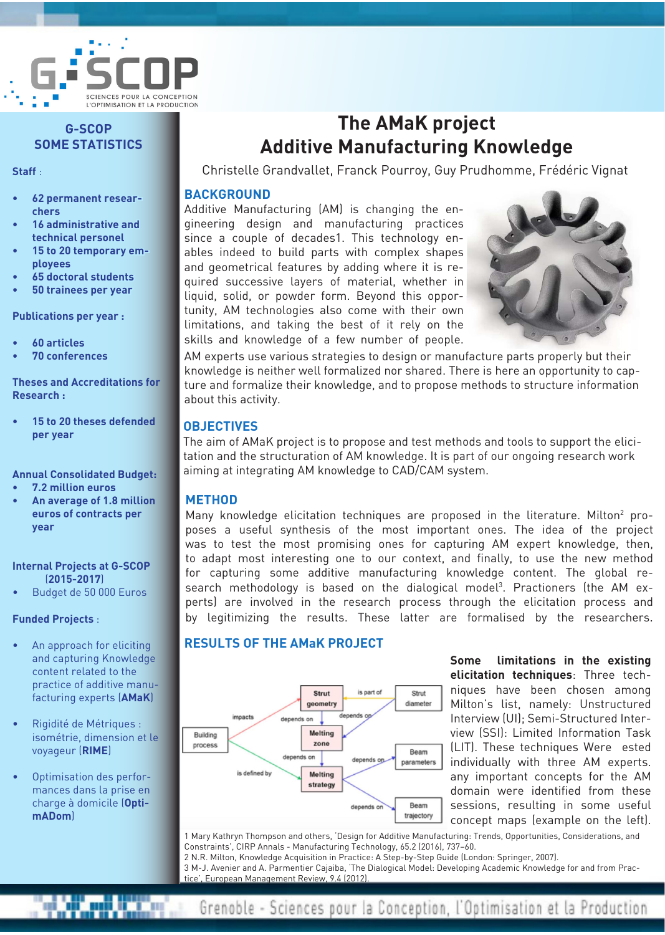

## **G-SCOP SOME STATISTICS**

**Staff** :

- **• 62 permanent researchers**
- **• 16 administrative and technical personel**
- 15 to 20 temporary em**ployees**
- **• 65 doctoral students**
- **• 50 trainees per year**

**Publications per year :**

- **• 60 articles**
- **• 70 conferences**

**Theses and Accreditations for Research :**

**15 to 20 theses defended per year**

#### **Annual Consolidated Budget:**

- **• 7.2 million euros**
- **• An average of 1.8 million euros of contracts per year**

#### **Internal Projects at G-SCOP** (**2015-2017**)

Budget de 50 000 Euros

#### **Funded Projects** :

- An approach for eliciting and capturing Knowledge content related to the practice of additive manufacturing experts (**AMaK**)
- Rigidité de Métriques : isométrie, dimension et le voyageur (**RIME**)
- Optimisation des performances dans la prise en charge à domicile (**OptimADom**)

# **The AMaK project Additive Manufacturing Knowledge**

Christelle Grandvallet, Franck Pourroy, Guy Prudhomme, Frédéric Vignat

#### **BACKGROUND**

Additive Manufacturing (AM) is changing the engineering design and manufacturing practices since a couple of decades1. This technology enables indeed to build parts with complex shapes and geometrical features by adding where it is required successive layers of material, whether in liquid, solid, or powder form. Beyond this opportunity, AM technologies also come with their own limitations, and taking the best of it rely on the skills and knowledge of a few number of people.



AM experts use various strategies to design or manufacture parts properly but their knowledge is neither well formalized nor shared. There is here an opportunity to capture and formalize their knowledge, and to propose methods to structure information about this activity.

### **OBJECTIVES**

The aim of AMaK project is to propose and test methods and tools to support the elicitation and the structuration of AM knowledge. It is part of our ongoing research work aiming at integrating AM knowledge to CAD/CAM system.

#### **METHOD**

Many knowledge elicitation techniques are proposed in the literature. Milton<sup>2</sup> proposes a useful synthesis of the most important ones. The idea of the project was to test the most promising ones for capturing AM expert knowledge, then, to adapt most interesting one to our context, and finally, to use the new method for capturing some additive manufacturing knowledge content. The global research methodology is based on the dialogical model<sup>3</sup>. Practioners (the AM experts) are involved in the research process through the elicitation process and by legitimizing the results. These latter are formalised by the researchers.

# **RESULTS OF THE AMaK PROJECT**



**Some limitations in the existing elicitation techniques**: Three techniques have been chosen among Milton's list, namely: Unstructured Interview (UI); Semi-Structured Interview (SSI): Limited Information Task (LIT). These techniques Were ested individually with three AM experts. any important concepts for the AM domain were identified from these sessions, resulting in some useful concept maps (example on the left).

1 Mary Kathryn Thompson and others, 'Design for Additive Manufacturing: Trends, Opportunities, Considerations, and Constraints', CIRP Annals - Manufacturing Technology, 65.2 (2016), 737–60. 2 N.R. Milton, Knowledge Acquisition in Practice: A Step-by-Step Guide (London: Springer, 2007). 3 M-J. Avenier and A. Parmentier Cajaiba, 'The Dialogical Model: Developing Academic Knowledge for and from Practice', European Management Review, 9.4 (2012).